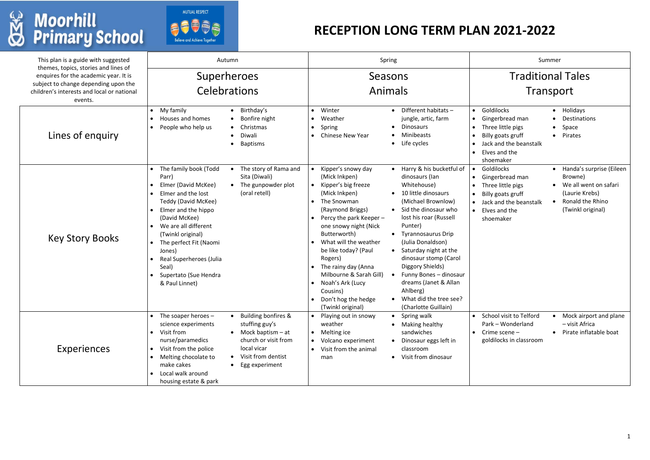| This plan is a guide with suggested<br>themes, topics, stories and lines of                                                            | Autumn                                                                                                                                                                                                                                                                                                                                                                                        | Spring                                                                                                                                                                                                                                                                                                                                                                                                                                                                                                                                                                                                                                                                                                                                                                                                      | Summer                                                                                                                                                                                                                                                                                                                             |  |
|----------------------------------------------------------------------------------------------------------------------------------------|-----------------------------------------------------------------------------------------------------------------------------------------------------------------------------------------------------------------------------------------------------------------------------------------------------------------------------------------------------------------------------------------------|-------------------------------------------------------------------------------------------------------------------------------------------------------------------------------------------------------------------------------------------------------------------------------------------------------------------------------------------------------------------------------------------------------------------------------------------------------------------------------------------------------------------------------------------------------------------------------------------------------------------------------------------------------------------------------------------------------------------------------------------------------------------------------------------------------------|------------------------------------------------------------------------------------------------------------------------------------------------------------------------------------------------------------------------------------------------------------------------------------------------------------------------------------|--|
| enquires for the academic year. It is<br>subject to change depending upon the<br>children's interests and local or national<br>events. | Superheroes<br><b>Celebrations</b>                                                                                                                                                                                                                                                                                                                                                            | Seasons<br>Animals                                                                                                                                                                                                                                                                                                                                                                                                                                                                                                                                                                                                                                                                                                                                                                                          | <b>Traditional Tales</b><br>Transport                                                                                                                                                                                                                                                                                              |  |
| Lines of enquiry                                                                                                                       | • Birthday's<br>My family<br>Houses and homes<br>• Bonfire night<br>People who help us<br>• Christmas<br>• Diwali<br>• Baptisms                                                                                                                                                                                                                                                               | Different habitats -<br>• Winter<br>jungle, artic, farm<br>Weather<br><b>Dinosaurs</b><br>Spring<br>$\bullet$<br>Minibeasts<br>• Chinese New Year<br>Life cycles<br>$\bullet$                                                                                                                                                                                                                                                                                                                                                                                                                                                                                                                                                                                                                               | Goldilocks<br>• Holidays<br>$\bullet$<br>Gingerbread man<br>Destinations<br>Three little pigs<br>Space<br>$\bullet$<br>Billy goats gruff<br>Pirates<br>$\bullet$<br>$\bullet$<br>Jack and the beanstalk<br>$\bullet$<br>Elves and the<br>$\bullet$<br>shoemaker                                                                    |  |
| <b>Key Story Books</b>                                                                                                                 | The family book (Todd<br>The story of Rama and<br>Sita (Diwali)<br>Parr)<br>Elmer (David McKee)<br>• The gunpowder plot<br>(oral retell)<br>Elmer and the lost<br>Teddy (David McKee)<br>Elmer and the hippo<br>(David McKee)<br>We are all different<br>(Twinkl original)<br>The perfect Fit (Naomi<br>Jones)<br>Real Superheroes (Julia<br>Seal)<br>Supertato (Sue Hendra<br>& Paul Linnet) | • Harry & his bucketful of<br>Kipper's snowy day<br>(Mick Inkpen)<br>dinosaurs (lan<br>Whitehouse)<br>Kipper's big freeze<br>10 little dinosaurs<br>(Mick Inkpen)<br>(Michael Brownlow)<br>The Snowman<br>Sid the dinosaur who<br>(Raymond Briggs)<br>$\bullet$<br>lost his roar (Russell<br>Percy the park Keeper -<br>Punter)<br>one snowy night (Nick<br>Butterworth)<br><b>Tyrannosaurus Drip</b><br>What will the weather<br>(Julia Donaldson)<br>be like today? (Paul<br>Saturday night at the<br>dinosaur stomp (Carol<br>Rogers)<br>Diggory Shields)<br>The rainy day (Anna<br>Milbourne & Sarah Gill)<br>Funny Bones - dinosaur<br>dreams (Janet & Allan<br>Noah's Ark (Lucy<br>Ahlberg)<br>Cousins)<br>Don't hog the hedge<br>What did the tree see?<br>(Charlotte Guillain)<br>(Twinkl original) | Goldilocks<br>Handa's surprise (Eileen<br>$\bullet$<br>Browne)<br>Gingerbread man<br>$\bullet$<br>We all went on safari<br>Three little pigs<br>(Laurie Krebs)<br>Billy goats gruff<br><b>Ronald the Rhino</b><br>Jack and the beanstalk<br>$\bullet$<br>$\bullet$<br>(Twinkl original)<br>Elves and the<br>$\bullet$<br>shoemaker |  |
| <b>Experiences</b>                                                                                                                     | • Building bonfires &<br>The soaper heroes $-$<br>stuffing guy's<br>science experiments<br>Visit from<br>$\bullet$ Mock baptism $-$ at<br>$\bullet$<br>nurse/paramedics<br>church or visit from<br>local vicar<br>Visit from the police<br>• Visit from dentist<br>Melting chocolate to<br>make cakes<br>• Egg experiment<br>Local walk around<br>$\bullet$<br>housing estate & park          | • Playing out in snowy<br>Spring walk<br>weather<br>Making healthy<br>sandwiches<br>Melting ice<br>Dinosaur eggs left in<br>Volcano experiment<br>classroom<br>Visit from the animal<br>Visit from dinosaur<br>man                                                                                                                                                                                                                                                                                                                                                                                                                                                                                                                                                                                          | School visit to Telford<br>• Mock airport and plane<br>$\bullet$<br>Park - Wonderland<br>- visit Africa<br>Pirate inflatable boat<br>Crime scene -<br>$\bullet$<br>goldilocks in classroom                                                                                                                                         |  |

## **W** Moorhill<br> **S** Primary School



## **RECEPTION LONG TERM PLAN 2021-2022**